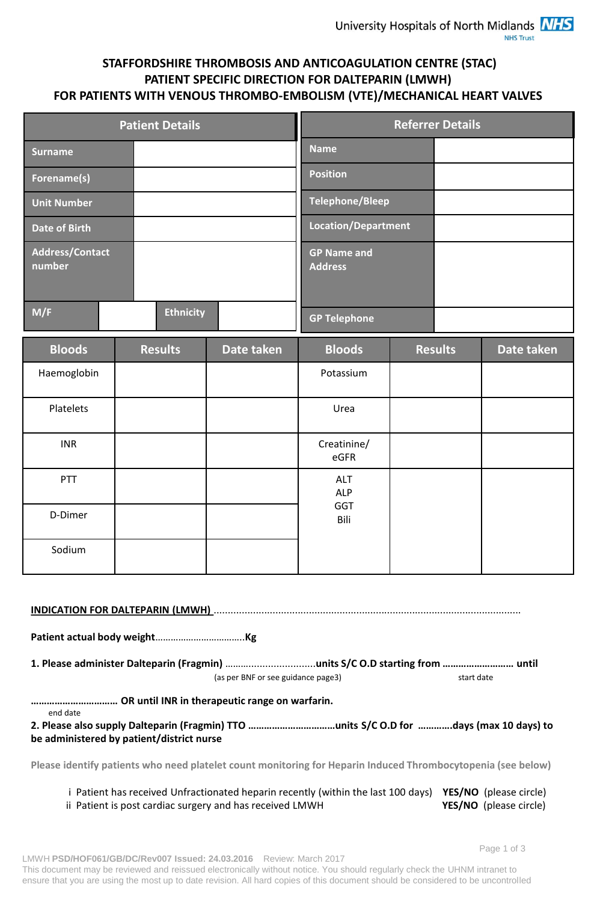## **STAFFORDSHIRE THROMBOSIS AND ANTICOAGULATION CENTRE (STAC) PATIENT SPECIFIC DIRECTION FOR DALTEPARIN (LMWH) FOR PATIENTS WITH VENOUS THROMBO-EMBOLISM (VTE)/MECHANICAL HEART VALVES**

|                                  | <b>Patient Details</b> |                                      | <b>Referrer Details</b> |
|----------------------------------|------------------------|--------------------------------------|-------------------------|
| Surname                          |                        | <b>Name</b>                          |                         |
| Forename(s)                      |                        | <b>Position</b>                      |                         |
| <b>Unit Number</b>               |                        | <b>Telephone/Bleep</b>               |                         |
| <b>Date of Birth</b>             |                        | <b>Location/Department</b>           |                         |
| <b>Address/Contact</b><br>number |                        | <b>GP Name and</b><br><b>Address</b> |                         |
| M/F                              | <b>Ethnicity</b>       | <b>GP Telephone</b>                  |                         |

| <b>Bloods</b> | <b>Results</b> | Date taken | <b>Bloods</b>                    | <b>Results</b> | Date taken |
|---------------|----------------|------------|----------------------------------|----------------|------------|
| Haemoglobin   |                |            | Potassium                        |                |            |
| Platelets     |                |            | Urea                             |                |            |
| <b>INR</b>    |                |            | Creatinine/<br>eGFR              |                |            |
| PTT           |                |            | ALT<br><b>ALP</b><br>GGT<br>Bili |                |            |
| D-Dimer       |                |            |                                  |                |            |
| Sodium        |                |            |                                  |                |            |

|                                           | INDICATION FOR DALTEPARIN (LMWH) MARIORAL CONTROL CONTROL CONTROL CONTROL CONTROL CONTROL CONTROL CONTROL CONT |            |
|-------------------------------------------|----------------------------------------------------------------------------------------------------------------|------------|
|                                           |                                                                                                                |            |
|                                           |                                                                                                                |            |
|                                           | (as per BNF or see guidance page3)                                                                             | start date |
| end date                                  |                                                                                                                |            |
| be administered by patient/district nurse |                                                                                                                |            |
|                                           |                                                                                                                |            |

**Please identify patients who need platelet count monitoring for Heparin Induced Thrombocytopenia (see below)**

| i Patient has received Unfractionated heparin recently (within the last 100 days) YES/NO (please circle) |                               |
|----------------------------------------------------------------------------------------------------------|-------------------------------|
| ii Patient is post cardiac surgery and has received LMWH                                                 | <b>YES/NO</b> (please circle) |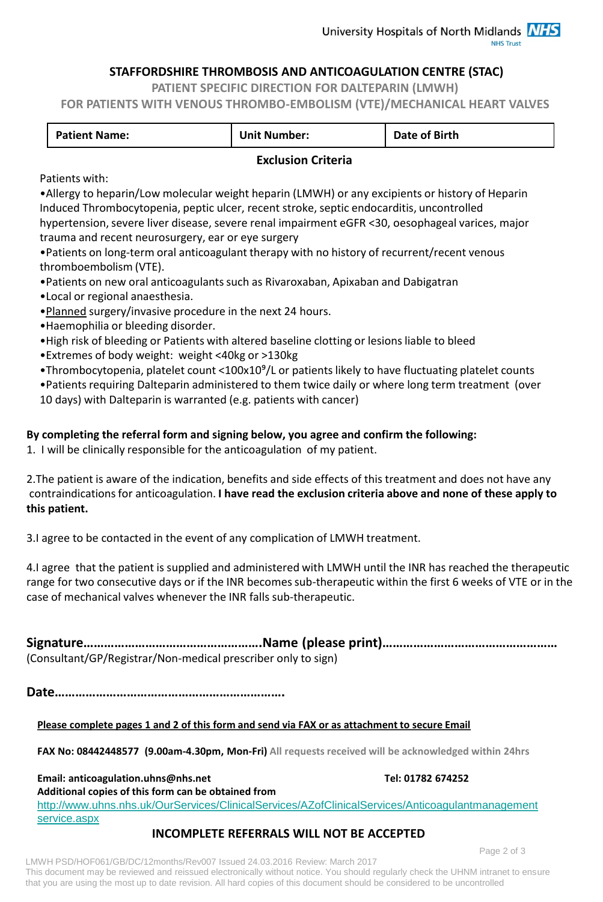### **STAFFORDSHIRE THROMBOSIS AND ANTICOAGULATION CENTRE (STAC)**

**PATIENT SPECIFIC DIRECTION FOR DALTEPARIN (LMWH)**

**FOR PATIENTS WITH VENOUS THROMBO-EMBOLISM (VTE)/MECHANICAL HEART VALVES**

| <b>Patient Name:</b> | <b>Unit Number:</b> | Date of Birth |
|----------------------|---------------------|---------------|
|                      |                     |               |

### **Exclusion Criteria**

Patients with:

•Allergy to heparin/Low molecular weight heparin (LMWH) or any excipients or history of Heparin Induced Thrombocytopenia, peptic ulcer, recent stroke, septic endocarditis, uncontrolled hypertension, severe liver disease, severe renal impairment eGFR <30, oesophageal varices, major

trauma and recent neurosurgery, ear or eye surgery

•Patients on long-term oral anticoagulant therapy with no history of recurrent/recent venous thromboembolism (VTE).

- •Patients on new oral anticoagulants such as Rivaroxaban, Apixaban and Dabigatran
- •Local or regional anaesthesia.
- •Planned surgery/invasive procedure in the next 24 hours.
- •Haemophilia or bleeding disorder.
- •High risk of bleeding or Patients with altered baseline clotting or lesions liable to bleed
- •Extremes of body weight: weight <40kg or >130kg
- •Thrombocytopenia, platelet count <100x10<sup>9</sup>/L or patients likely to have fluctuating platelet counts

•Patients requiring Dalteparin administered to them twice daily or where long term treatment (over 10 days) with Dalteparin is warranted (e.g. patients with cancer)

## **By completing the referral form and signing below, you agree and confirm the following:**

1. I will be clinically responsible for the anticoagulation of my patient.

2.The patient is aware of the indication, benefits and side effects of this treatment and does not have any contraindications for anticoagulation. **I have read the exclusion criteria above and none of these apply to this patient.**

3.I agree to be contacted in the event of any complication of LMWH treatment.

4.I agree that the patient is supplied and administered with LMWH until the INR has reached the therapeutic range for two consecutive days or if the INR becomes sub-therapeutic within the first 6 weeks of VTE or in the case of mechanical valves whenever the INR falls sub-therapeutic.

**Signature…………………………………………….Name (please print)……………………………………………** (Consultant/GP/Registrar/Non-medical prescriber only to sign)

**Date………………………………………………………….**

#### **Please complete pages 1 and 2 of this form and send via FAX or as attachment to secure Email**

**FAX No: 08442448577 (9.00am-4.30pm, Mon-Fri) All requests received will be acknowledged within 24hrs**

Email: anticoagulation.uhns@nhs.net Tel: 01782 674252

**Additional copies of this form can be obtained from** 

[http://www.uhns.nhs.uk/OurServices/ClinicalServices/AZofClinicalServices/Anticoagulantmanagement](http://www.uhns.nhs.uk/OurServices/ClinicalServices/AZofClinicalServices/Anticoagulantmanagementservice.aspx) [service.aspx](http://www.uhns.nhs.uk/OurServices/ClinicalServices/AZofClinicalServices/Anticoagulantmanagementservice.aspx)

## **INCOMPLETE REFERRALS WILL NOT BE ACCEPTED**